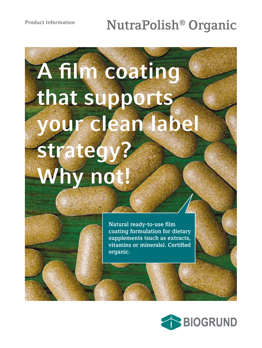# **NutraPolish® Organic**

# **A film coating that supports your clean label**  strategy **Why not!**

**Natural ready-to-use film coating formulation for dietary supplements (such as extracts, vitamins or minerals). Certified organic.**